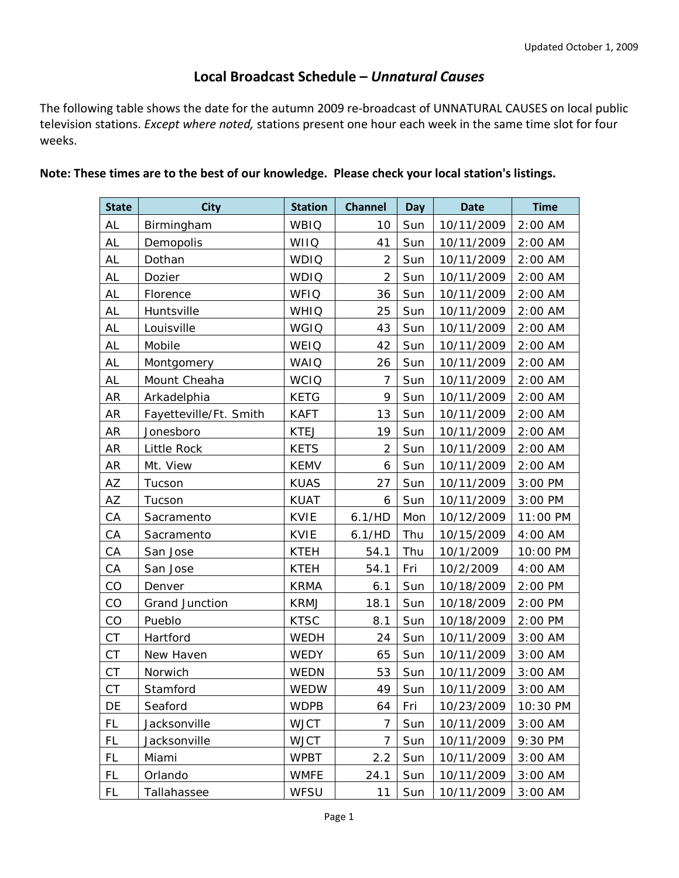## **Local Broadcast Schedule –** *Unnatural Causes*

The following table shows the date for the autumn 2009 re-broadcast of UNNATURAL CAUSES on local public television stations. *Except where noted,* stations present one hour each week in the same time slot for four weeks.

| <b>State</b> | <b>City</b>            | <b>Station</b> | <b>Channel</b> | Day | <b>Date</b> | <b>Time</b> |
|--------------|------------------------|----------------|----------------|-----|-------------|-------------|
| AL           | Birmingham             | <b>WBIQ</b>    | 10             | Sun | 10/11/2009  | 2:00 AM     |
| AL           | Demopolis              | <b>WIIQ</b>    | 41             | Sun | 10/11/2009  | 2:00 AM     |
| AL           | Dothan                 | <b>WDIQ</b>    | $\overline{2}$ | Sun | 10/11/2009  | 2:00 AM     |
| <b>AL</b>    | Dozier                 | <b>WDIQ</b>    | $\overline{2}$ | Sun | 10/11/2009  | $2:00$ AM   |
| AL           | Florence               | <b>WFIQ</b>    | 36             | Sun | 10/11/2009  | $2:00$ AM   |
| AL           | Huntsville             | <b>WHIQ</b>    | 25             | Sun | 10/11/2009  | 2:00 AM     |
| AL           | Louisville             | <b>WGIQ</b>    | 43             | Sun | 10/11/2009  | 2:00 AM     |
| AL           | Mobile                 | WEIQ           | 42             | Sun | 10/11/2009  | 2:00 AM     |
| <b>AL</b>    | Montgomery             | <b>WAIQ</b>    | 26             | Sun | 10/11/2009  | $2:00$ AM   |
| AL           | Mount Cheaha           | <b>WCIQ</b>    | 7              | Sun | 10/11/2009  | $2:00$ AM   |
| AR           | Arkadelphia            | <b>KETG</b>    | 9              | Sun | 10/11/2009  | $2:00$ AM   |
| AR           | Fayetteville/Ft. Smith | <b>KAFT</b>    | 13             | Sun | 10/11/2009  | $2:00$ AM   |
| AR           | Jonesboro              | <b>KTEJ</b>    | 19             | Sun | 10/11/2009  | $2:00$ AM   |
| AR           | Little Rock            | <b>KETS</b>    | $\overline{2}$ | Sun | 10/11/2009  | 2:00 AM     |
| AR           | Mt. View               | <b>KEMV</b>    | 6              | Sun | 10/11/2009  | $2:00$ AM   |
| AZ           | Tucson                 | <b>KUAS</b>    | 27             | Sun | 10/11/2009  | 3:00 PM     |
| AZ           | Tucson                 | <b>KUAT</b>    | 6              | Sun | 10/11/2009  | $3:00$ PM   |
| CA           | Sacramento             | <b>KVIE</b>    | 6.1/HD         | Mon | 10/12/2009  | 11:00 PM    |
| CA           | Sacramento             | <b>KVIE</b>    | 6.1/HD         | Thu | 10/15/2009  | 4:00 AM     |
| CA           | San Jose               | <b>KTEH</b>    | 54.1           | Thu | 10/1/2009   | 10:00 PM    |
| CA           | San Jose               | <b>KTEH</b>    | 54.1           | Fri | 10/2/2009   | 4:00 AM     |
| CO           | Denver                 | <b>KRMA</b>    | 6.1            | Sun | 10/18/2009  | 2:00 PM     |
| CO           | Grand Junction         | <b>KRMJ</b>    | 18.1           | Sun | 10/18/2009  | $2:00$ PM   |
| CO           | Pueblo                 | <b>KTSC</b>    | 8.1            | Sun | 10/18/2009  | 2:00 PM     |
| <b>CT</b>    | Hartford               | <b>WEDH</b>    | 24             | Sun | 10/11/2009  | $3:00$ AM   |
| <b>CT</b>    | New Haven              | WEDY           | 65             | Sun | 10/11/2009  | 3:00 AM     |
| <b>CT</b>    | Norwich                | WEDN           | 53             | Sun | 10/11/2009  | $3:00$ AM   |
| <b>CT</b>    | Stamford               | WEDW           | 49             | Sun | 10/11/2009  | $3:00$ AM   |
| DE           | Seaford                | <b>WDPB</b>    | 64             | Fri | 10/23/2009  | 10:30 PM    |
| FL           | Jacksonville           | <b>WJCT</b>    | 7              | Sun | 10/11/2009  | 3:00 AM     |
| FL           | Jacksonville           | <b>WJCT</b>    | 7              | Sun | 10/11/2009  | 9:30 PM     |
| FL           | Miami                  | <b>WPBT</b>    | 2.2            | Sun | 10/11/2009  | $3:00$ AM   |
| FL           | Orlando                | <b>WMFE</b>    | 24.1           | Sun | 10/11/2009  | 3:00 AM     |
| FL           | Tallahassee            | WFSU           | 11             | Sun | 10/11/2009  | 3:00 AM     |

## **Note: These times are to the best of our knowledge. Please check your local station's listings.**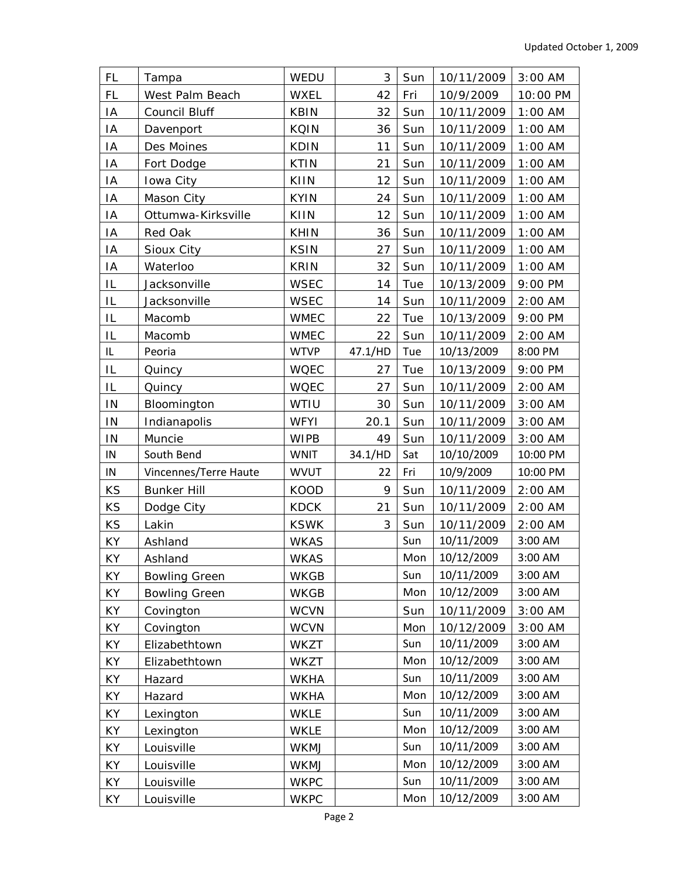| <b>FL</b> | Tampa                 | WEDU        | 3       | Sun | 10/11/2009 | 3:00 AM   |
|-----------|-----------------------|-------------|---------|-----|------------|-----------|
| <b>FL</b> | West Palm Beach       | <b>WXEL</b> | 42      | Fri | 10/9/2009  | 10:00 PM  |
| IA        | Council Bluff         | <b>KBIN</b> | 32      | Sun | 10/11/2009 | $1:00$ AM |
| IA        | Davenport             | <b>KQIN</b> | 36      | Sun | 10/11/2009 | $1:00$ AM |
| IA        | Des Moines            | <b>KDIN</b> | 11      | Sun | 10/11/2009 | $1:00$ AM |
| IA        | Fort Dodge            | <b>KTIN</b> | 21      | Sun | 10/11/2009 | $1:00$ AM |
| IA        | Iowa City             | KIIN        | 12      | Sun | 10/11/2009 | $1:00$ AM |
| IA        | Mason City            | <b>KYIN</b> | 24      | Sun | 10/11/2009 | $1:00$ AM |
| ΙA        | Ottumwa-Kirksville    | KIIN        | 12      | Sun | 10/11/2009 | $1:00$ AM |
| IA        | Red Oak               | <b>KHIN</b> | 36      | Sun | 10/11/2009 | $1:00$ AM |
| ΙA        | Sioux City            | <b>KSIN</b> | 27      | Sun | 10/11/2009 | $1:00$ AM |
| IA        | Waterloo              | <b>KRIN</b> | 32      | Sun | 10/11/2009 | $1:00$ AM |
| IL        | Jacksonville          | <b>WSEC</b> | 14      | Tue | 10/13/2009 | 9:00 PM   |
| IL        | Jacksonville          | <b>WSEC</b> | 14      | Sun | 10/11/2009 | $2:00$ AM |
| IL        | Macomb                | <b>WMEC</b> | 22      | Tue | 10/13/2009 | 9:00 PM   |
| IL        | Macomb                | <b>WMEC</b> | 22      | Sun | 10/11/2009 | $2:00$ AM |
| IL        | Peoria                | <b>WTVP</b> | 47.1/HD | Tue | 10/13/2009 | 8:00 PM   |
| IL        | Quincy                | <b>WQEC</b> | 27      | Tue | 10/13/2009 | 9:00 PM   |
| IL        | Quincy                | <b>WQEC</b> | 27      | Sun | 10/11/2009 | 2:00 AM   |
| IN        | Bloomington           | WTIU        | 30      | Sun | 10/11/2009 | $3:00$ AM |
| IN        | Indianapolis          | <b>WFYI</b> | 20.1    | Sun | 10/11/2009 | 3:00 AM   |
| IN        | Muncie                | <b>WIPB</b> | 49      | Sun | 10/11/2009 | 3:00 AM   |
| IN        | South Bend            | <b>WNIT</b> | 34.1/HD | Sat | 10/10/2009 | 10:00 PM  |
| IN        | Vincennes/Terre Haute | <b>WVUT</b> | 22      | Fri | 10/9/2009  | 10:00 PM  |
| KS        | <b>Bunker Hill</b>    | <b>KOOD</b> | 9       | Sun | 10/11/2009 | 2:00 AM   |
| KS        | Dodge City            | <b>KDCK</b> | 21      | Sun | 10/11/2009 | $2:00$ AM |
| KS        | Lakin                 | <b>KSWK</b> | 3       | Sun | 10/11/2009 | $2:00$ AM |
| KY        | Ashland               | <b>WKAS</b> |         | Sun | 10/11/2009 | 3:00 AM   |
| KY        | Ashland               | <b>WKAS</b> |         | Mon | 10/12/2009 | 3:00 AM   |
| KY        | <b>Bowling Green</b>  | <b>WKGB</b> |         | Sun | 10/11/2009 | 3:00 AM   |
| KY        | <b>Bowling Green</b>  | <b>WKGB</b> |         | Mon | 10/12/2009 | 3:00 AM   |
| KY        | Covington             | <b>WCVN</b> |         | Sun | 10/11/2009 | 3:00 AM   |
| KY        | Covington             | <b>WCVN</b> |         | Mon | 10/12/2009 | 3:00 AM   |
| KY        | Elizabethtown         | <b>WKZT</b> |         | Sun | 10/11/2009 | 3:00 AM   |
| KY        | Elizabethtown         | <b>WKZT</b> |         | Mon | 10/12/2009 | 3:00 AM   |
| KY        | Hazard                | <b>WKHA</b> |         | Sun | 10/11/2009 | 3:00 AM   |
| KY        | Hazard                | <b>WKHA</b> |         | Mon | 10/12/2009 | 3:00 AM   |
| KY        | Lexington             | <b>WKLE</b> |         | Sun | 10/11/2009 | 3:00 AM   |
| KY        | Lexington             | <b>WKLE</b> |         | Mon | 10/12/2009 | 3:00 AM   |
| KY        | Louisville            | WKMJ        |         | Sun | 10/11/2009 | 3:00 AM   |
| KY        | Louisville            | WKMJ        |         | Mon | 10/12/2009 | 3:00 AM   |
| KY        | Louisville            | <b>WKPC</b> |         | Sun | 10/11/2009 | 3:00 AM   |
| KY        | Louisville            | <b>WKPC</b> |         | Mon | 10/12/2009 | 3:00 AM   |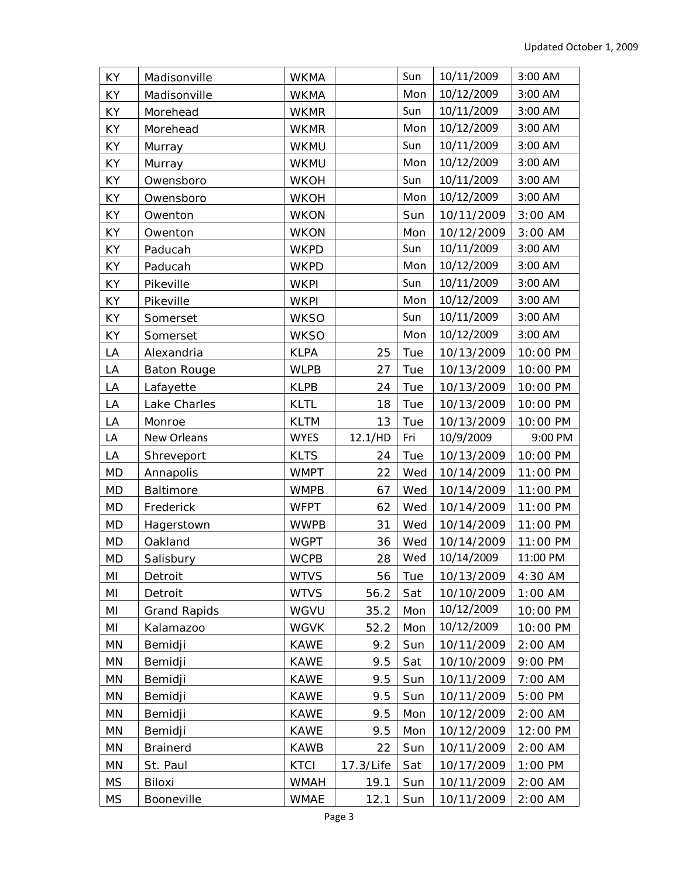| <b>KY</b> | Madisonville        | <b>WKMA</b> |           | Sun | 10/11/2009 | 3:00 AM   |
|-----------|---------------------|-------------|-----------|-----|------------|-----------|
| KY        | Madisonville        | <b>WKMA</b> |           | Mon | 10/12/2009 | 3:00 AM   |
| KY        | Morehead            | <b>WKMR</b> |           | Sun | 10/11/2009 | 3:00 AM   |
| KY        | Morehead            | <b>WKMR</b> |           | Mon | 10/12/2009 | 3:00 AM   |
| KY        | Murray              | <b>WKMU</b> |           | Sun | 10/11/2009 | 3:00 AM   |
| KY        | Murray              | WKMU        |           | Mon | 10/12/2009 | 3:00 AM   |
| KY        | Owensboro           | <b>WKOH</b> |           | Sun | 10/11/2009 | 3:00 AM   |
| KY        | Owensboro           | <b>WKOH</b> |           | Mon | 10/12/2009 | 3:00 AM   |
| KY        | Owenton             | <b>WKON</b> |           | Sun | 10/11/2009 | 3:00 AM   |
| KY        | Owenton             | <b>WKON</b> |           | Mon | 10/12/2009 | $3:00$ AM |
| KY        | Paducah             | <b>WKPD</b> |           | Sun | 10/11/2009 | 3:00 AM   |
| KY        | Paducah             | <b>WKPD</b> |           | Mon | 10/12/2009 | 3:00 AM   |
| KY        | Pikeville           | <b>WKPI</b> |           | Sun | 10/11/2009 | 3:00 AM   |
| KY        | Pikeville           | <b>WKPI</b> |           | Mon | 10/12/2009 | 3:00 AM   |
| KY        | Somerset            | <b>WKSO</b> |           | Sun | 10/11/2009 | 3:00 AM   |
| KY        | Somerset            | <b>WKSO</b> |           | Mon | 10/12/2009 | 3:00 AM   |
| LA        | Alexandria          | <b>KLPA</b> | 25        | Tue | 10/13/2009 | 10:00 PM  |
| LA        | <b>Baton Rouge</b>  | <b>WLPB</b> | 27        | Tue | 10/13/2009 | 10:00 PM  |
| LA        | Lafayette           | <b>KLPB</b> | 24        | Tue | 10/13/2009 | 10:00 PM  |
| LA        | Lake Charles        | <b>KLTL</b> | 18        | Tue | 10/13/2009 | 10:00 PM  |
| LA        | Monroe              | <b>KLTM</b> | 13        | Tue | 10/13/2009 | 10:00 PM  |
| LA        | New Orleans         | <b>WYES</b> | 12.1/HD   | Fri | 10/9/2009  | 9:00 PM   |
| LA        | Shreveport          | <b>KLTS</b> | 24        | Tue | 10/13/2009 | 10:00 PM  |
| <b>MD</b> | Annapolis           | <b>WMPT</b> | 22        | Wed | 10/14/2009 | 11:00 PM  |
| MD        | Baltimore           | <b>WMPB</b> | 67        | Wed | 10/14/2009 | 11:00 PM  |
| <b>MD</b> | Frederick           | <b>WFPT</b> | 62        | Wed | 10/14/2009 | 11:00 PM  |
| <b>MD</b> | Hagerstown          | <b>WWPB</b> | 31        | Wed | 10/14/2009 | 11:00 PM  |
| <b>MD</b> | Oakland             | <b>WGPT</b> | 36        | Wed | 10/14/2009 | 11:00 PM  |
| <b>MD</b> | Salisbury           | <b>WCPB</b> | 28        | Wed | 10/14/2009 | 11:00 PM  |
| MI        | Detroit             | <b>WTVS</b> | 56        | Tue | 10/13/2009 | 4:30 AM   |
| MI        | Detroit             | <b>WTVS</b> | 56.2      | Sat | 10/10/2009 | $1:00$ AM |
| ΜI        | <b>Grand Rapids</b> | WGVU        | 35.2      | Mon | 10/12/2009 | 10:00 PM  |
| ΜI        | Kalamazoo           | <b>WGVK</b> | 52.2      | Mon | 10/12/2009 | 10:00 PM  |
| MN        | Bemidji             | <b>KAWE</b> | 9.2       | Sun | 10/11/2009 | $2:00$ AM |
| MN        | Bemidji             | <b>KAWE</b> | 9.5       | Sat | 10/10/2009 | 9:00 PM   |
| MN        | Bemidji             | <b>KAWE</b> | 9.5       | Sun | 10/11/2009 | 7:00 AM   |
| MN        | Bemidji             | <b>KAWE</b> | 9.5       | Sun | 10/11/2009 | 5:00 PM   |
| MN        | Bemidji             | <b>KAWE</b> | 9.5       | Mon | 10/12/2009 | $2:00$ AM |
| MN        | Bemidji             | <b>KAWE</b> | 9.5       | Mon | 10/12/2009 | 12:00 PM  |
| MN        | <b>Brainerd</b>     | <b>KAWB</b> | 22        | Sun | 10/11/2009 | $2:00$ AM |
| MN        | St. Paul            | <b>KTCI</b> | 17.3/Life | Sat | 10/17/2009 | 1:00 PM   |
| <b>MS</b> | Biloxi              | <b>WMAH</b> | 19.1      | Sun | 10/11/2009 | 2:00 AM   |
| <b>MS</b> | Booneville          | <b>WMAE</b> | 12.1      | Sun | 10/11/2009 | $2:00$ AM |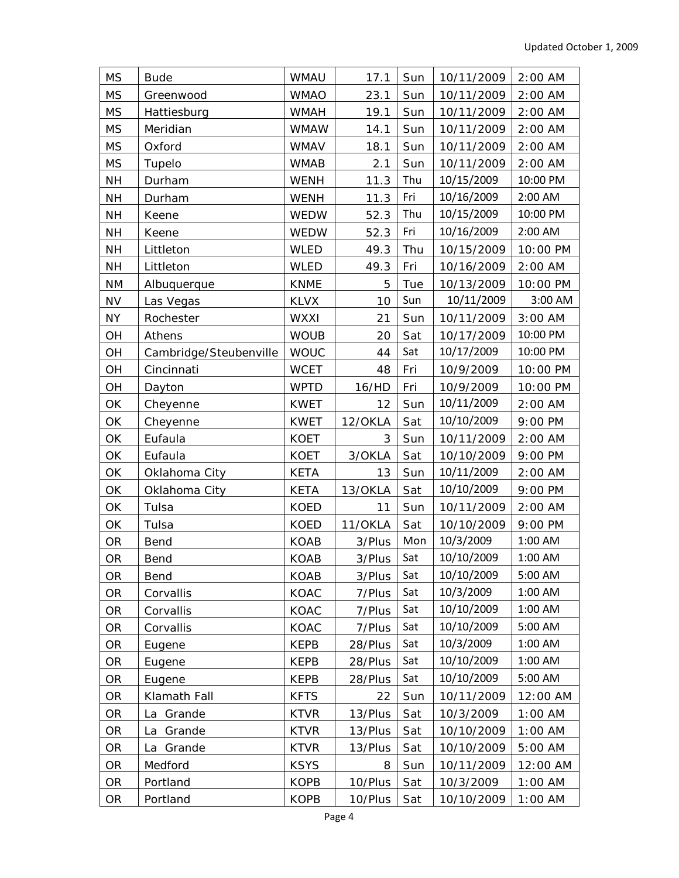| <b>MS</b> | <b>Bude</b>            | <b>WMAU</b> | 17.1    | Sun | 10/11/2009 | $2:00$ AM |
|-----------|------------------------|-------------|---------|-----|------------|-----------|
| <b>MS</b> | Greenwood              | <b>WMAO</b> | 23.1    | Sun | 10/11/2009 | $2:00$ AM |
| <b>MS</b> | Hattiesburg            | <b>WMAH</b> | 19.1    | Sun | 10/11/2009 | $2:00$ AM |
| <b>MS</b> | Meridian               | <b>WMAW</b> | 14.1    | Sun | 10/11/2009 | $2:00$ AM |
| <b>MS</b> | Oxford                 | <b>WMAV</b> | 18.1    | Sun | 10/11/2009 | $2:00$ AM |
| <b>MS</b> | Tupelo                 | <b>WMAB</b> | 2.1     | Sun | 10/11/2009 | $2:00$ AM |
| <b>NH</b> | Durham                 | <b>WENH</b> | 11.3    | Thu | 10/15/2009 | 10:00 PM  |
| <b>NH</b> | Durham                 | <b>WENH</b> | 11.3    | Fri | 10/16/2009 | 2:00 AM   |
| <b>NH</b> | Keene                  | WEDW        | 52.3    | Thu | 10/15/2009 | 10:00 PM  |
| <b>NH</b> | Keene                  | WEDW        | 52.3    | Fri | 10/16/2009 | 2:00 AM   |
| <b>NH</b> | Littleton              | <b>WLED</b> | 49.3    | Thu | 10/15/2009 | 10:00 PM  |
| <b>NH</b> | Littleton              | <b>WLED</b> | 49.3    | Fri | 10/16/2009 | $2:00$ AM |
| <b>NM</b> | Albuquerque            | <b>KNME</b> | 5       | Tue | 10/13/2009 | 10:00 PM  |
| <b>NV</b> | Las Vegas              | <b>KLVX</b> | 10      | Sun | 10/11/2009 | 3:00 AM   |
| ΝY        | Rochester              | <b>WXXI</b> | 21      | Sun | 10/11/2009 | $3:00$ AM |
| OH        | Athens                 | <b>WOUB</b> | 20      | Sat | 10/17/2009 | 10:00 PM  |
| OH        | Cambridge/Steubenville | <b>WOUC</b> | 44      | Sat | 10/17/2009 | 10:00 PM  |
| OH        | Cincinnati             | <b>WCET</b> | 48      | Fri | 10/9/2009  | 10:00 PM  |
| OH        | Dayton                 | <b>WPTD</b> | 16/HD   | Fri | 10/9/2009  | 10:00 PM  |
| ОK        | Cheyenne               | <b>KWET</b> | 12      | Sun | 10/11/2009 | 2:00 AM   |
| OK        | Cheyenne               | <b>KWET</b> | 12/OKLA | Sat | 10/10/2009 | 9:00 PM   |
| ОK        | Eufaula                | <b>KOET</b> | 3       | Sun | 10/11/2009 | 2:00 AM   |
| OK        | Eufaula                | <b>KOET</b> | 3/OKLA  | Sat | 10/10/2009 | 9:00 PM   |
| OK        | Oklahoma City          | <b>KETA</b> | 13      | Sun | 10/11/2009 | $2:00$ AM |
| OK        | Oklahoma City          | <b>KETA</b> | 13/OKLA | Sat | 10/10/2009 | 9:00 PM   |
| OK        | Tulsa                  | <b>KOED</b> | 11      | Sun | 10/11/2009 | $2:00$ AM |
| ОK        | Tulsa                  | <b>KOED</b> | 11/OKLA | Sat | 10/10/2009 | 9:00 PM   |
| OR        | Bend                   | <b>KOAB</b> | 3/Plus  | Mon | 10/3/2009  | 1:00 AM   |
| <b>OR</b> | Bend                   | <b>KOAB</b> | 3/Plus  | Sat | 10/10/2009 | 1:00 AM   |
| <b>OR</b> | Bend                   | <b>KOAB</b> | 3/Plus  | Sat | 10/10/2009 | 5:00 AM   |
| OR        | Corvallis              | KOAC        | 7/Plus  | Sat | 10/3/2009  | 1:00 AM   |
| <b>OR</b> | Corvallis              | KOAC        | 7/Plus  | Sat | 10/10/2009 | 1:00 AM   |
| OR        | Corvallis              | KOAC        | 7/Plus  | Sat | 10/10/2009 | 5:00 AM   |
| OR        | Eugene                 | <b>KEPB</b> | 28/Plus | Sat | 10/3/2009  | 1:00 AM   |
| OR        | Eugene                 | <b>KEPB</b> | 28/Plus | Sat | 10/10/2009 | 1:00 AM   |
| OR        | Eugene                 | <b>KEPB</b> | 28/Plus | Sat | 10/10/2009 | 5:00 AM   |
| <b>OR</b> | Klamath Fall           | <b>KFTS</b> | 22      | Sun | 10/11/2009 | 12:00 AM  |
| OR        | La Grande              | <b>KTVR</b> | 13/Plus | Sat | 10/3/2009  | $1:00$ AM |
| OR        | Grande<br>La           | <b>KTVR</b> | 13/Plus | Sat | 10/10/2009 | $1:00$ AM |
| OR        | La Grande              | <b>KTVR</b> | 13/Plus | Sat | 10/10/2009 | 5:00 AM   |
| <b>OR</b> | Medford                | <b>KSYS</b> | 8       | Sun | 10/11/2009 | 12:00 AM  |
| OR        | Portland               | <b>KOPB</b> | 10/Plus | Sat | 10/3/2009  | $1:00$ AM |
| OR        | Portland               | <b>KOPB</b> | 10/Plus | Sat | 10/10/2009 | $1:00$ AM |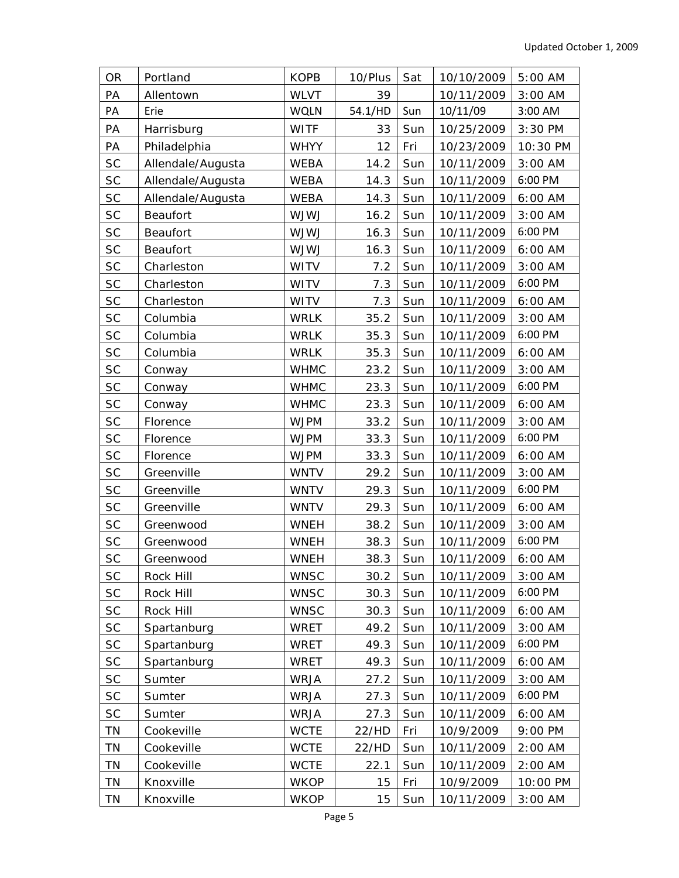| <b>OR</b> | Portland          | <b>KOPB</b> | 10/Plus | Sat | 10/10/2009 | 5:00 AM   |
|-----------|-------------------|-------------|---------|-----|------------|-----------|
| PA        | Allentown         | <b>WLVT</b> | 39      |     | 10/11/2009 | $3:00$ AM |
| PA        | Erie              | <b>WQLN</b> | 54.1/HD | Sun | 10/11/09   | 3:00 AM   |
| PA        | Harrisburg        | <b>WITF</b> | 33      | Sun | 10/25/2009 | 3:30 PM   |
| PA        | Philadelphia      | <b>WHYY</b> | 12      | Fri | 10/23/2009 | 10:30 PM  |
| <b>SC</b> | Allendale/Augusta | <b>WEBA</b> | 14.2    | Sun | 10/11/2009 | 3:00 AM   |
| <b>SC</b> | Allendale/Augusta | <b>WEBA</b> | 14.3    | Sun | 10/11/2009 | 6:00 PM   |
| <b>SC</b> | Allendale/Augusta | <b>WEBA</b> | 14.3    | Sun | 10/11/2009 | 6:00 AM   |
| <b>SC</b> | Beaufort          | <b>UWLW</b> | 16.2    | Sun | 10/11/2009 | 3:00 AM   |
| <b>SC</b> | Beaufort          | <b>UWLW</b> | 16.3    | Sun | 10/11/2009 | 6:00 PM   |
| $\sf SC$  | Beaufort          | <b>UWLW</b> | 16.3    | Sun | 10/11/2009 | 6:00 AM   |
| <b>SC</b> | Charleston        | <b>WITV</b> | 7.2     | Sun | 10/11/2009 | $3:00$ AM |
| <b>SC</b> | Charleston        | <b>WITV</b> | 7.3     | Sun | 10/11/2009 | 6:00 PM   |
| <b>SC</b> | Charleston        | <b>WITV</b> | 7.3     | Sun | 10/11/2009 | 6:00 AM   |
| <b>SC</b> | Columbia          | <b>WRLK</b> | 35.2    | Sun | 10/11/2009 | $3:00$ AM |
| SC        | Columbia          | <b>WRLK</b> | 35.3    | Sun | 10/11/2009 | 6:00 PM   |
| SC        | Columbia          | <b>WRLK</b> | 35.3    | Sun | 10/11/2009 | 6:00 AM   |
| <b>SC</b> | Conway            | <b>WHMC</b> | 23.2    | Sun | 10/11/2009 | 3:00 AM   |
| <b>SC</b> | Conway            | <b>WHMC</b> | 23.3    | Sun | 10/11/2009 | 6:00 PM   |
| <b>SC</b> | Conway            | <b>WHMC</b> | 23.3    | Sun | 10/11/2009 | 6:00 AM   |
| <b>SC</b> | Florence          | <b>WJPM</b> | 33.2    | Sun | 10/11/2009 | $3:00$ AM |
| SC        | Florence          | <b>WJPM</b> | 33.3    | Sun | 10/11/2009 | 6:00 PM   |
| $\sf SC$  | Florence          | <b>WJPM</b> | 33.3    | Sun | 10/11/2009 | 6:00 AM   |
| <b>SC</b> | Greenville        | <b>WNTV</b> | 29.2    | Sun | 10/11/2009 | $3:00$ AM |
| SC        | Greenville        | <b>WNTV</b> | 29.3    | Sun | 10/11/2009 | 6:00 PM   |
| <b>SC</b> | Greenville        | <b>WNTV</b> | 29.3    | Sun | 10/11/2009 | 6:00 AM   |
| SC        | Greenwood         | <b>WNEH</b> | 38.2    | Sun | 10/11/2009 | $3:00$ AM |
| SC        | Greenwood         | <b>WNEH</b> | 38.3    | Sun | 10/11/2009 | 6:00 PM   |
| <b>SC</b> | Greenwood         | <b>WNEH</b> | 38.3    | Sun | 10/11/2009 | 6:00 AM   |
| <b>SC</b> | Rock Hill         | <b>WNSC</b> | 30.2    | Sun | 10/11/2009 | $3:00$ AM |
| <b>SC</b> | Rock Hill         | <b>WNSC</b> | 30.3    | Sun | 10/11/2009 | 6:00 PM   |
| SC        | Rock Hill         | <b>WNSC</b> | 30.3    | Sun | 10/11/2009 | 6:00 AM   |
| <b>SC</b> | Spartanburg       | <b>WRET</b> | 49.2    | Sun | 10/11/2009 | $3:00$ AM |
| <b>SC</b> | Spartanburg       | <b>WRET</b> | 49.3    | Sun | 10/11/2009 | 6:00 PM   |
| SC        | Spartanburg       | <b>WRET</b> | 49.3    | Sun | 10/11/2009 | 6:00 AM   |
| <b>SC</b> | Sumter            | <b>WRJA</b> | 27.2    | Sun | 10/11/2009 | $3:00$ AM |
| <b>SC</b> | Sumter            | <b>WRJA</b> | 27.3    | Sun | 10/11/2009 | 6:00 PM   |
| <b>SC</b> | Sumter            | <b>WRJA</b> | 27.3    | Sun | 10/11/2009 | 6:00 AM   |
| TN        | Cookeville        | <b>WCTE</b> | 22/HD   | Fri | 10/9/2009  | 9:00 PM   |
| ΤN        | Cookeville        | <b>WCTE</b> | 22/HD   | Sun | 10/11/2009 | $2:00$ AM |
| ΤN        | Cookeville        | <b>WCTE</b> | 22.1    | Sun | 10/11/2009 | $2:00$ AM |
| TN        | Knoxville         | <b>WKOP</b> | 15      | Fri | 10/9/2009  | 10:00 PM  |
| TN        | Knoxville         | <b>WKOP</b> | 15      | Sun | 10/11/2009 | $3:00$ AM |